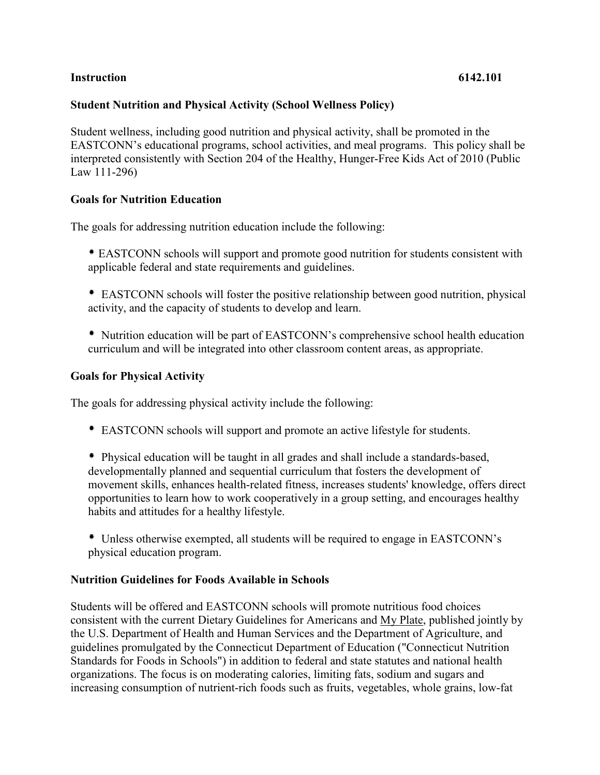## **Instruction 6142.101**

## **Student Nutrition and Physical Activity (School Wellness Policy)**

Student wellness, including good nutrition and physical activity, shall be promoted in the EASTCONN's educational programs, school activities, and meal programs. This policy shall be interpreted consistently with Section 204 of the Healthy, Hunger-Free Kids Act of 2010 (Public Law 111-296)

## **Goals for Nutrition Education**

The goals for addressing nutrition education include the following:

- EASTCONN schools will support and promote good nutrition for students consistent with applicable federal and state requirements and guidelines.
- EASTCONN schools will foster the positive relationship between good nutrition, physical activity, and the capacity of students to develop and learn.
- Nutrition education will be part of EASTCONN's comprehensive school health education curriculum and will be integrated into other classroom content areas, as appropriate.

## **Goals for Physical Activity**

The goals for addressing physical activity include the following:

EASTCONN schools will support and promote an active lifestyle for students.

 Physical education will be taught in all grades and shall include a standards-based, developmentally planned and sequential curriculum that fosters the development of movement skills, enhances health-related fitness, increases students' knowledge, offers direct opportunities to learn how to work cooperatively in a group setting, and encourages healthy habits and attitudes for a healthy lifestyle.

 Unless otherwise exempted, all students will be required to engage in EASTCONN's physical education program.

### **Nutrition Guidelines for Foods Available in Schools**

Students will be offered and EASTCONN schools will promote nutritious food choices consistent with the current Dietary Guidelines for Americans and My Plate, published jointly by the U.S. Department of Health and Human Services and the Department of Agriculture, and guidelines promulgated by the Connecticut Department of Education ("Connecticut Nutrition Standards for Foods in Schools") in addition to federal and state statutes and national health organizations. The focus is on moderating calories, limiting fats, sodium and sugars and increasing consumption of nutrient-rich foods such as fruits, vegetables, whole grains, low-fat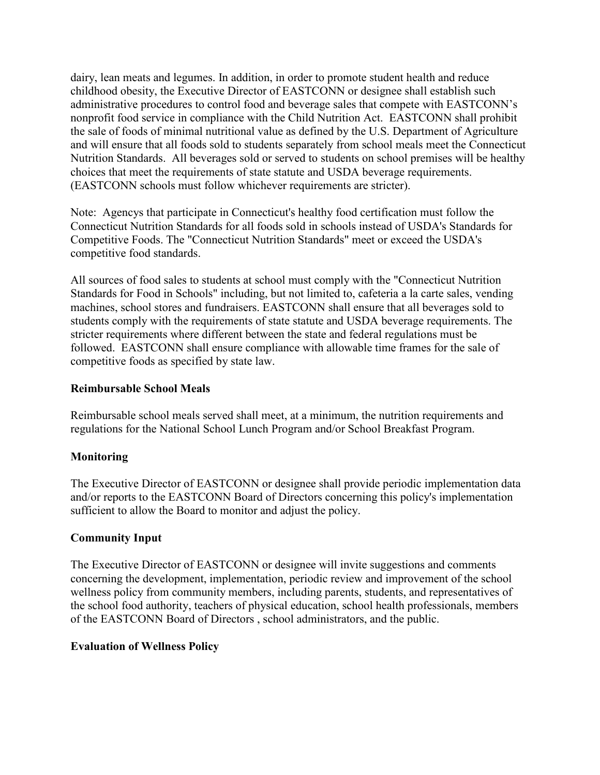dairy, lean meats and legumes. In addition, in order to promote student health and reduce childhood obesity, the Executive Director of EASTCONN or designee shall establish such administrative procedures to control food and beverage sales that compete with EASTCONN's nonprofit food service in compliance with the Child Nutrition Act. EASTCONN shall prohibit the sale of foods of minimal nutritional value as defined by the U.S. Department of Agriculture and will ensure that all foods sold to students separately from school meals meet the Connecticut Nutrition Standards. All beverages sold or served to students on school premises will be healthy choices that meet the requirements of state statute and USDA beverage requirements. (EASTCONN schools must follow whichever requirements are stricter).

Note: Agencys that participate in Connecticut's healthy food certification must follow the Connecticut Nutrition Standards for all foods sold in schools instead of USDA's Standards for Competitive Foods. The "Connecticut Nutrition Standards" meet or exceed the USDA's competitive food standards.

All sources of food sales to students at school must comply with the "Connecticut Nutrition Standards for Food in Schools" including, but not limited to, cafeteria a la carte sales, vending machines, school stores and fundraisers. EASTCONN shall ensure that all beverages sold to students comply with the requirements of state statute and USDA beverage requirements. The stricter requirements where different between the state and federal regulations must be followed. EASTCONN shall ensure compliance with allowable time frames for the sale of competitive foods as specified by state law.

# **Reimbursable School Meals**

Reimbursable school meals served shall meet, at a minimum, the nutrition requirements and regulations for the National School Lunch Program and/or School Breakfast Program.

# **Monitoring**

The Executive Director of EASTCONN or designee shall provide periodic implementation data and/or reports to the EASTCONN Board of Directors concerning this policy's implementation sufficient to allow the Board to monitor and adjust the policy.

# **Community Input**

The Executive Director of EASTCONN or designee will invite suggestions and comments concerning the development, implementation, periodic review and improvement of the school wellness policy from community members, including parents, students, and representatives of the school food authority, teachers of physical education, school health professionals, members of the EASTCONN Board of Directors , school administrators, and the public.

## **Evaluation of Wellness Policy**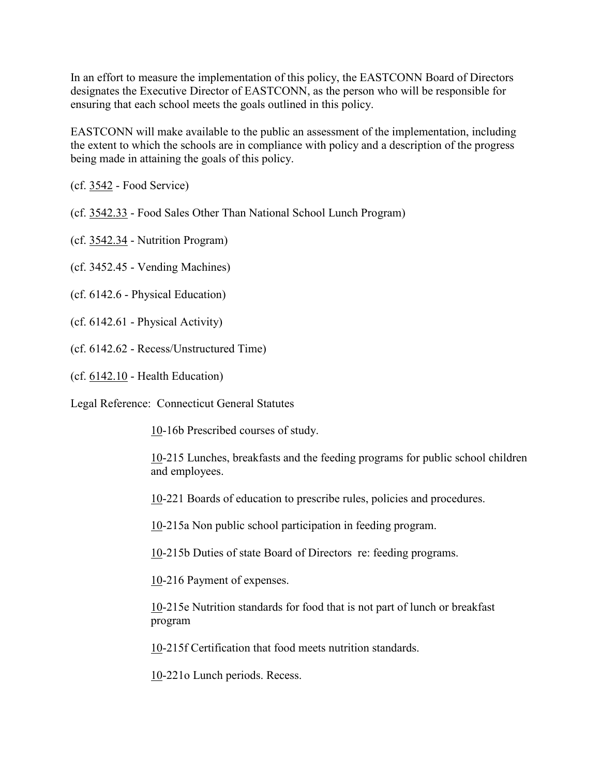In an effort to measure the implementation of this policy, the EASTCONN Board of Directors designates the Executive Director of EASTCONN, as the person who will be responsible for ensuring that each school meets the goals outlined in this policy.

EASTCONN will make available to the public an assessment of the implementation, including the extent to which the schools are in compliance with policy and a description of the progress being made in attaining the goals of this policy.

(cf. [3542](http://z2policy.cabe.org/cabe/DocViewer.jsp?docid=140&z2collection=core#JD_3542) - Food Service)

(cf. [3542.33](http://z2policy.cabe.org/cabe/DocViewer.jsp?docid=144&z2collection=core#JD_3542.33) - Food Sales Other Than National School Lunch Program)

(cf. [3542.34](http://z2policy.cabe.org/cabe/DocViewer.jsp?docid=145&z2collection=core#JD_3542.34) - Nutrition Program)

(cf. 3452.45 - Vending Machines)

(cf. 6142.6 - Physical Education)

(cf. 6142.61 - Physical Activity)

(cf. 6142.62 - Recess/Unstructured Time)

(cf. [6142.10](http://z2policy.cabe.org/cabe/DocViewer.jsp?docid=390&z2collection=core#JD_6142.10) - Health Education)

Legal Reference: Connecticut General Statutes

[10-](http://www.cga.ct.gov/2011/pub/Title10.htm)16b Prescribed courses of study.

[10-](http://www.cga.ct.gov/2011/pub/Title10.htm)215 Lunches, breakfasts and the feeding programs for public school children and employees.

[10-](http://www.cga.ct.gov/2011/pub/Title10.htm)221 Boards of education to prescribe rules, policies and procedures.

[10-](http://www.cga.ct.gov/2011/pub/Title10.htm)215a Non public school participation in feeding program.

[10-](http://www.cga.ct.gov/2011/pub/Title10.htm)215b Duties of state Board of Directors re: feeding programs.

[10-](http://www.cga.ct.gov/2011/pub/Title10.htm)216 Payment of expenses.

[10-](http://www.cga.ct.gov/2011/pub/Title10.htm)215e Nutrition standards for food that is not part of lunch or breakfast program

[10-](http://www.cga.ct.gov/2011/pub/Title10.htm)215f Certification that food meets nutrition standards.

[10-](http://www.cga.ct.gov/2011/pub/Title10.htm)221o Lunch periods. Recess.